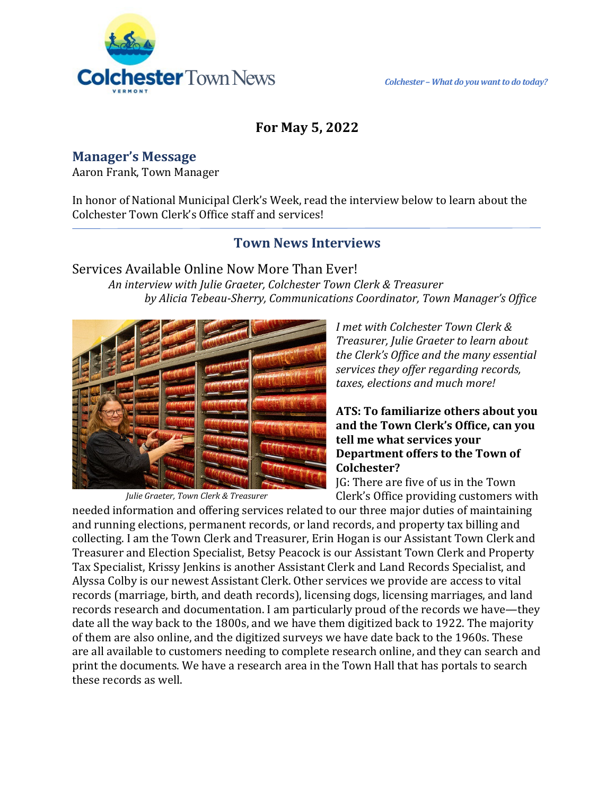

## **For May 5, 2022**

**Manager's Message**

Aaron Frank, Town Manager

In honor of National Municipal Clerk's Week, read the interview below to learn about the Colchester Town Clerk's Office staff and services!

## **Town News Interviews**

Services Available Online Now More Than Ever! *An interview with Julie Graeter, Colchester Town Clerk & Treasurer by Alicia Tebeau-Sherry, Communications Coordinator, Town Manager's Office*



*Julie Graeter, Town Clerk & Treasurer*

*I met with Colchester Town Clerk & Treasurer, Julie Graeter to learn about the Clerk's Office and the many essential services they offer regarding records, taxes, elections and much more!*

#### **ATS: To familiarize others about you and the Town Clerk's Office, can you tell me what services your Department offers to the Town of Colchester?**

JG: There are five of us in the Town Clerk's Office providing customers with

needed information and offering services related to our three major duties of maintaining and running elections, permanent records, or land records, and property tax billing and collecting. I am the Town Clerk and Treasurer, Erin Hogan is our Assistant Town Clerk and Treasurer and Election Specialist, Betsy Peacock is our Assistant Town Clerk and Property Tax Specialist, Krissy Jenkins is another Assistant Clerk and Land Records Specialist, and Alyssa Colby is our newest Assistant Clerk. Other services we provide are access to vital records (marriage, birth, and death records), licensing dogs, licensing marriages, and land records research and documentation. I am particularly proud of the records we have—they date all the way back to the 1800s, and we have them digitized back to 1922. The majority of them are also online, and the digitized surveys we have date back to the 1960s. These are all available to customers needing to complete research online, and they can search and print the documents. We have a research area in the Town Hall that has portals to search these records as well.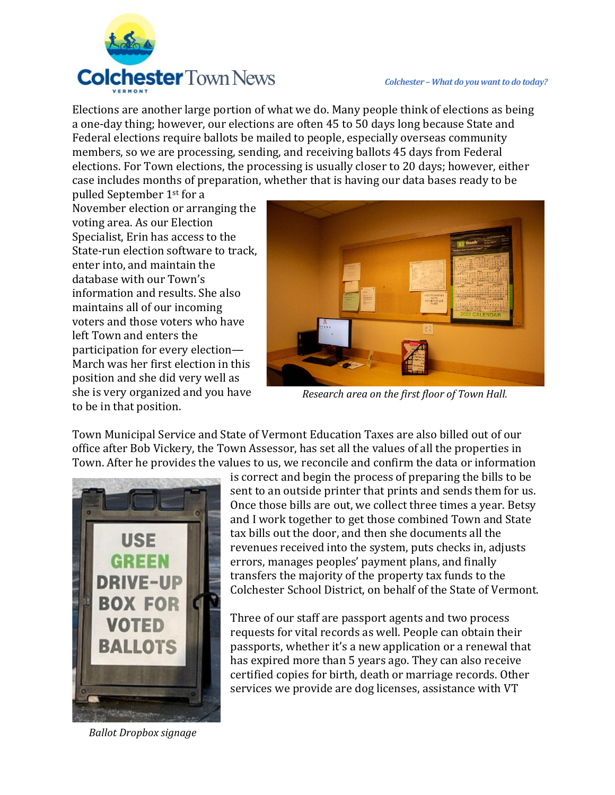

Elections are another large portion of what we do. Many people think of elections as being a one-day thing; however, our elections are often 45 to 50 days long because State and Federal elections require ballots be mailed to people, especially overseas community members, so we are processing, sending, and receiving ballots 45 days from Federal elections. For Town elections, the processing is usually closer to 20 days; however, either case includes months of preparation, whether that is having our data bases ready to be

pulled September 1st for a November election or arranging the voting area. As our Election Specialist, Erin has access to the State-run election software to track, enter into, and maintain the database with our Town's information and results. She also maintains all of our incoming voters and those voters who have left Town and enters the participation for every election— March was her first election in this position and she did very well as she is very organized and you have to be in that position.



*Research area on the first floor of Town Hall.*

Town Municipal Service and State of Vermont Education Taxes are also billed out of our office after Bob Vickery, the Town Assessor, has set all the values of all the properties in Town. After he provides the values to us, we reconcile and confirm the data or information



*Ballot Dropbox signage*

is correct and begin the process of preparing the bills to be sent to an outside printer that prints and sends them for us. Once those bills are out, we collect three times a year. Betsy and I work together to get those combined Town and State tax bills out the door, and then she documents all the revenues received into the system, puts checks in, adjusts errors, manages peoples' payment plans, and finally transfers the majority of the property tax funds to the Colchester School District, on behalf of the State of Vermont.

Three of our staff are passport agents and two process requests for vital records as well. People can obtain their passports, whether it's a new application or a renewal that has expired more than 5 years ago. They can also receive certified copies for birth, death or marriage records. Other services we provide are dog licenses, assistance with VT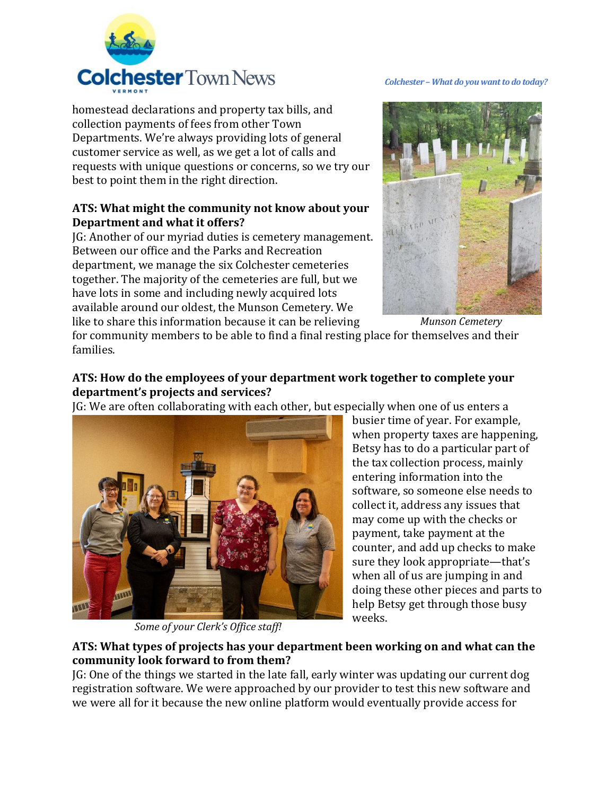

families.

homestead declarations and property tax bills, and collection payments of fees from other Town Departments. We're always providing lots of general customer service as well, as we get a lot of calls and requests with unique questions or concerns, so we try our best to point them in the right direction.

#### **ATS: What might the community not know about your Department and what it offers?**

JG: Another of our myriad duties is cemetery management. Between our office and the Parks and Recreation department, we manage the six Colchester cemeteries together. The majority of the cemeteries are full, but we have lots in some and including newly acquired lots available around our oldest, the Munson Cemetery. We like to share this information because it can be relieving



for community members to be able to find a final resting place for themselves and their *Munson Cemetery*

### **ATS: How do the employees of your department work together to complete your department's projects and services?**

JG: We are often collaborating with each other, but especially when one of us enters a



*Some of your Clerk's Office staff!*

busier time of year. For example, when property taxes are happening, Betsy has to do a particular part of the tax collection process, mainly entering information into the software, so someone else needs to collect it, address any issues that may come up with the checks or payment, take payment at the counter, and add up checks to make sure they look appropriate—that's when all of us are jumping in and doing these other pieces and parts to help Betsy get through those busy weeks.

#### **ATS: What types of projects has your department been working on and what can the community look forward to from them?**

JG: One of the things we started in the late fall, early winter was updating our current dog registration software. We were approached by our provider to test this new software and we were all for it because the new online platform would eventually provide access for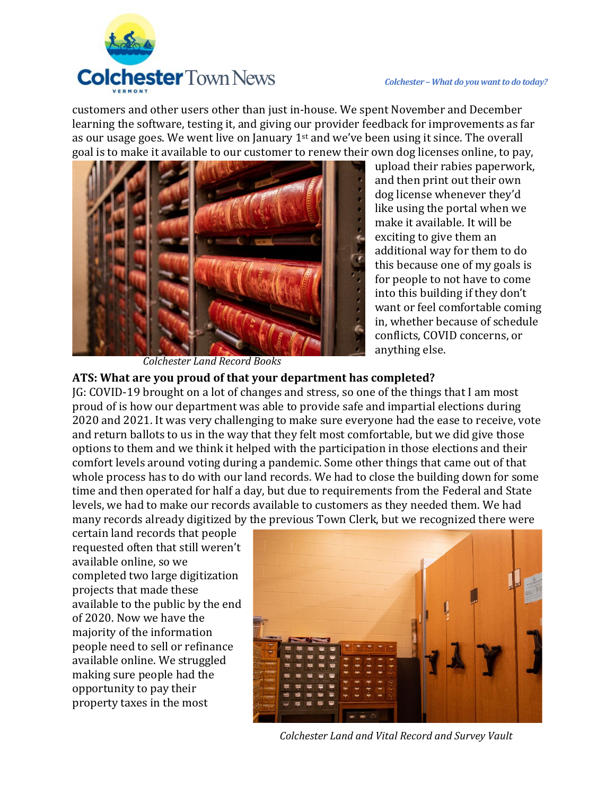

customers and other users other than just in-house. We spent November and December learning the software, testing it, and giving our provider feedback for improvements as far as our usage goes. We went live on January 1st and we've been using it since. The overall goal is to make it available to our customer to renew their own dog licenses online, to pay,



upload their rabies paperwork, and then print out their own dog license whenever they'd like using the portal when we make it available. It will be exciting to give them an additional way for them to do this because one of my goals is for people to not have to come into this building if they don't want or feel comfortable coming in, whether because of schedule conflicts, COVID concerns, or anything else.

*Colchester Land Record Books*

#### **ATS: What are you proud of that your department has completed?**

JG: COVID-19 brought on a lot of changes and stress, so one of the things that I am most proud of is how our department was able to provide safe and impartial elections during 2020 and 2021. It was very challenging to make sure everyone had the ease to receive, vote and return ballots to us in the way that they felt most comfortable, but we did give those options to them and we think it helped with the participation in those elections and their comfort levels around voting during a pandemic. Some other things that came out of that whole process has to do with our land records. We had to close the building down for some time and then operated for half a day, but due to requirements from the Federal and State levels, we had to make our records available to customers as they needed them. We had many records already digitized by the previous Town Clerk, but we recognized there were

certain land records that people requested often that still weren't available online, so we completed two large digitization projects that made these available to the public by the end of 2020. Now we have the majority of the information people need to sell or refinance available online. We struggled making sure people had the opportunity to pay their property taxes in the most



*Colchester Land and Vital Record and Survey Vault*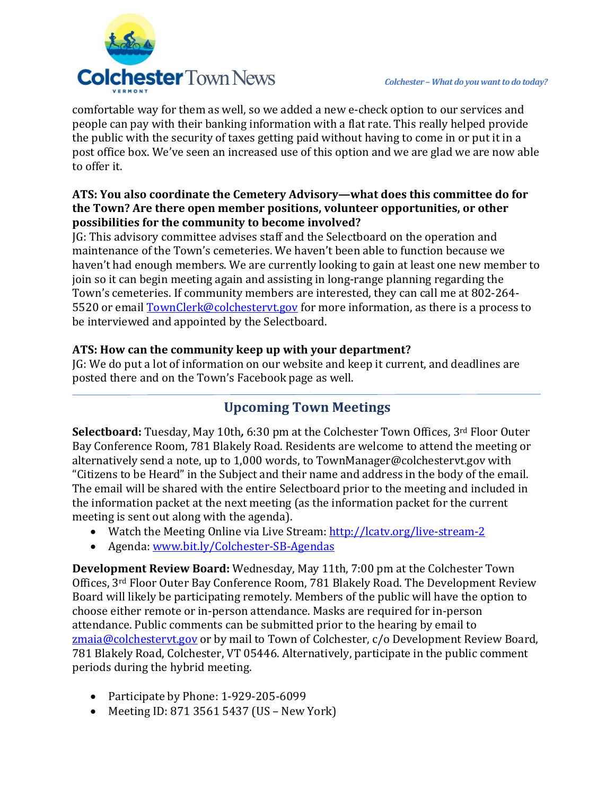



comfortable way for them as well, so we added a new e-check option to our services and people can pay with their banking information with a flat rate. This really helped provide the public with the security of taxes getting paid without having to come in or put it in a post office box. We've seen an increased use of this option and we are glad we are now able to offer it.

#### **ATS: You also coordinate the Cemetery Advisory—what does this committee do for the Town? Are there open member positions, volunteer opportunities, or other possibilities for the community to become involved?**

JG: This advisory committee advises staff and the Selectboard on the operation and maintenance of the Town's cemeteries. We haven't been able to function because we haven't had enough members. We are currently looking to gain at least one new member to join so it can begin meeting again and assisting in long-range planning regarding the Town's cemeteries. If community members are interested, they can call me at 802-264- 5520 or email [TownClerk@colchestervt.gov](mailto:TownClerk@colchestervt.gov) for more information, as there is a process to be interviewed and appointed by the Selectboard.

## **ATS: How can the community keep up with your department?**

JG: We do put a lot of information on our website and keep it current, and deadlines are posted there and on the Town's Facebook page as well.

# **Upcoming Town Meetings**

**Selectboard:** Tuesday, May 10th*,* 6:30 pm at the Colchester Town Offices, 3rd Floor Outer Bay Conference Room, 781 Blakely Road. Residents are welcome to attend the meeting or alternatively send a note, up to 1,000 words, to TownManager@colchestervt.gov with "Citizens to be Heard" in the Subject and their name and address in the body of the email. The email will be shared with the entire Selectboard prior to the meeting and included in the information packet at the next meeting (as the information packet for the current meeting is sent out along with the agenda).

- Watch the Meeting Online via Live Stream:<http://lcatv.org/live-stream-2>
- Agenda: [www.bit.ly/Colchester-SB-Agendas](http://www.bit.ly/Colchester-SB-Agendas)

**Development Review Board:** Wednesday, May 11th, 7:00 pm at the Colchester Town Offices, 3rd Floor Outer Bay Conference Room, 781 Blakely Road. The Development Review Board will likely be participating remotely. Members of the public will have the option to choose either remote or in-person attendance. Masks are required for in-person attendance. Public comments can be submitted prior to the hearing by email to [zmaia@colchestervt.gov](mailto:zmaia@colchestervt.gov) or by mail to Town of Colchester, c/o Development Review Board, 781 Blakely Road, Colchester, VT 05446. Alternatively, participate in the public comment periods during the hybrid meeting.

- Participate by Phone: 1-929-205-6099
- Meeting ID: 871 3561 5437 (US New York)